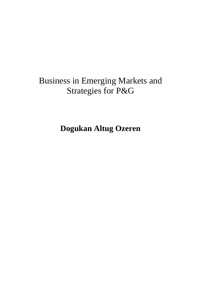## **Business in Emerging Markets and Strategies for P&G**

**Dogukan Altug Ozeren**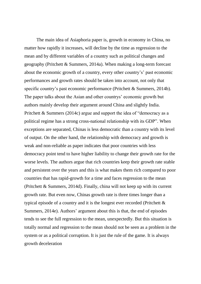The main idea of Asiaphoria paper is, growth in economy in China, no matter how rapidly it increases, will decline by the time as regression to the mean and by different variables of a country such as political changes and geography (Pritchett & Summers, 2014a). When making a long-term forecast about the economic growth of a country, every other country's' past economic performances and growth rates should be taken into account, not only that specific country's past economic performance (Pritchett & Summers, 2014b). The paper talks about the Asian and other countrys' economic growth but authors mainly develop their argument around China and slightly India. Pritchett & Summers (2014c) argue and support the idea of "democracy as a political regime has a strong cross-national relationship with its GDP". When exceptions are separated, Chinas is less democratic than a country with its level of output. On the other hand, the relationship with democracy and growth is weak and non-reliable as paper indicates that poor countries with less democracy point tend to have higher liability to change their growth rate for the worse levels. The authors argue that rich countries keep their growth rate stable and persistent over the years and this is what makes them rich compared to poor countries that has rapid-growth for a time and faces regression to the mean (Pritchett & Summers, 2014d). Finally, china will not keep up with its current growth rate. But even now, Chinas growth rate is three times longer than a typical episode of a country and it is the longest ever recorded (Pritchett & Summers, 2014e). Authors' argument about this is that, the end of episodes tends to see the full regression to the mean, unexpectedly. But this situation is totally normal and regression to the mean should not be seen as a problem in the system or as a political corruption. It is just the rule of the game. It is always growth deceleration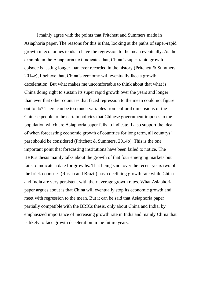I mainly agree with the points that Pritchett and Summers made in Asiaphoria paper. The reasons for this is that, looking at the paths of super-rapid growth in economies tends to have the regression to the mean eventually. As the example in the Asiaphoria text indicates that, China's super-rapid growth episode is lasting longer than ever recorded in the history (Pritchett & Summers, 2014e), I believe that, China's economy will eventually face a growth deceleration. But what makes me uncomfortable to think about that what is China doing right to sustain its super rapid growth over the years and longer than ever that other countries that faced regression to the mean could not figure out to do? There can be too much variables from cultural dimensions of the Chinese people to the certain policies that Chinese government imposes to the population which are Asiaphoria paper fails to indicate. I also support the idea of when forecasting economic growth of countries for long term, all countrys' past should be considered (Pritchett & Summers, 2014b). This is the one important point that forecasting institutions have been failed to notice. The BRICs thesis mainly talks about the growth of that four emerging markets but fails to indicate a date for growths. That being said, over the recent years two of the brick countries (Russia and Brazil) has a declining growth rate while China and India are very persistent with their average growth rates. What Asiaphoria paper argues about is that China will eventually stop its economic growth and meet with regression to the mean. But it can be said that Asiaphoria paper partially compatible with the BRICs thesis, only about China and India, by emphasized importance of increasing growth rate in India and mainly China that is likely to face growth deceleration in the future years.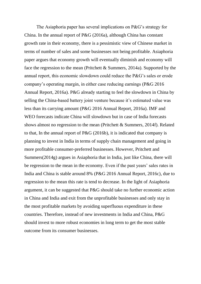The Asiaphoria paper has several implications on P&G's strategy for China. In the annual report of P&G (2016a), although China has constant growth rate in their economy, there is a pessimistic view of Chinese market in terms of number of sales and some businesses not being profitable. Asiaphoria paper argues that economy growth will eventually diminish and economy will face the regression to the mean (Pritchett & Summers, 2014a). Supported by the annual report, this economic slowdown could reduce the P&G's sales or erode company's operating margin, in either case reducing earnings (P&G 2016 Annual Report, 2016a). P&G already starting to feel the slowdown in China by selling the China-based battery joint venture because it's estimated value was less than its carrying amount (P&G 2016 Annual Report, 2016a). IMF and WEO forecasts indicate China will slowdown but in case of India forecasts shows almost no regression to the mean (Pritchett & Summers, 2014f). Related to that, In the annual report of P&G (2016b), it is indicated that company is planning to invest in India in terms of supply chain management and going in more profitable consumer-preferred businesses. However, Pritchett and Summers(2014g) argues in Asiaphoria that in India, just like China, there will be regression to the mean in the economy. Even if the past years' sales rates in India and China is stable around 8% (P&G 2016 Annual Report, 2016c), due to regression to the mean this rate is tend to decrease. In the light of Asiaphoria argument, it can be suggested that P&G should take no further economic action in China and India and exit from the unprofitable businesses and only stay in the most profitable markets by avoiding superfluous expenditure in these countries. Therefore, instead of new investments in India and China, P&G should invest to more robust economies in long term to get the most stable outcome from its consumer businesses.